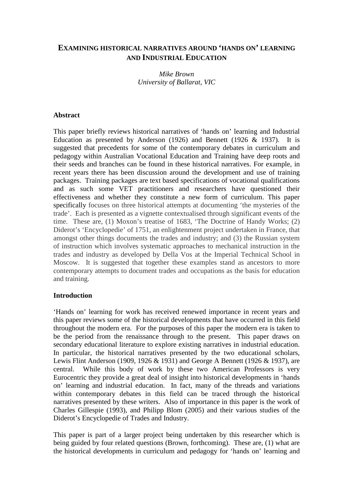# **EXAMINING HISTORICAL NARRATIVES AROUND 'HANDS ON' LEARNING AND INDUSTRIAL EDUCATION**

*Mike Brown University of Ballarat, VIC* 

#### **Abstract**

This paper briefly reviews historical narratives of 'hands on' learning and Industrial Education as presented by Anderson (1926) and Bennett (1926  $\&$  1937). It is suggested that precedents for some of the contemporary debates in curriculum and pedagogy within Australian Vocational Education and Training have deep roots and their seeds and branches can be found in these historical narratives. For example, in recent years there has been discussion around the development and use of training packages. Training packages are text based specifications of vocational qualifications and as such some VET practitioners and researchers have questioned their effectiveness and whether they constitute a new form of curriculum. This paper specifically focuses on three historical attempts at documenting 'the mysteries of the trade'. Each is presented as a vignette contextualised through significant events of the time. These are, (1) Moxon's treatise of 1683, 'The Doctrine of Handy Works; (2) Diderot's 'Encyclopedie' of 1751, an enlightenment project undertaken in France, that amongst other things documents the trades and industry; and (3) the Russian system of instruction which involves systematic approaches to mechanical instruction in the trades and industry as developed by Della Vos at the Imperial Technical School in Moscow. It is suggested that together these examples stand as ancestors to more contemporary attempts to document trades and occupations as the basis for education and training.

#### **Introduction**

'Hands on' learning for work has received renewed importance in recent years and this paper reviews some of the historical developments that have occurred in this field throughout the modern era. For the purposes of this paper the modern era is taken to be the period from the renaissance through to the present. This paper draws on secondary educational literature to explore existing narratives in industrial education. In particular, the historical narratives presented by the two educational scholars, Lewis Flint Anderson (1909, 1926 & 1931) and George A Bennett (1926 & 1937), are central. While this body of work by these two American Professors is very Eurocentric they provide a great deal of insight into historical developments in 'hands on' learning and industrial education. In fact, many of the threads and variations within contemporary debates in this field can be traced through the historical narratives presented by these writers. Also of importance in this paper is the work of Charles Gillespie (1993), and Philipp Blom (2005) and their various studies of the Diderot's Encyclopedie of Trades and Industry.

This paper is part of a larger project being undertaken by this researcher which is being guided by four related questions (Brown, forthcoming). These are, (1) what are the historical developments in curriculum and pedagogy for 'hands on' learning and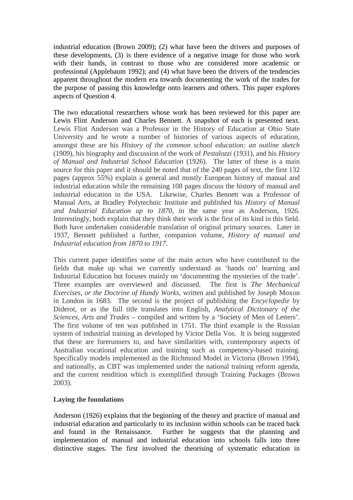industrial education (Brown 2009); (2) what have been the drivers and purposes of these developments, (3) is there evidence of a negative image for those who work with their hands, in contrast to those who are considered more academic or professional (Applebaum 1992); and (4) what have been the drivers of the tendencies apparent throughout the modern era towards documenting the work of the trades for the purpose of passing this knowledge onto learners and others. This paper explores aspects of Question 4.

The two educational researchers whose work has been reviewed for this paper are Lewis Flint Anderson and Charles Bennett. A snapshot of each is presented next. Lewis Flint Anderson was a Professor in the History of Education at Ohio State University and he wrote a number of histories of various aspects of education, amongst these are his *History of the common school education: an outline sketch* (1909), his biography and discussion of the work of *Pestalozzi* (1931), and his *History of Manual and Industrial School Education* (1926). The latter of these is a main source for this paper and it should be noted that of the 240 pages of text, the first 132 pages (approx 55%) explain a general and mostly European history of manual and industrial education while the remaining 108 pages discuss the history of manual and industrial education in the USA. Likewise, Charles Bennett was a Professor of Manual Arts, at Bradley Polytechnic Institute and published his *History of Manual and Industrial Education up to 1870*, in the same year as Anderson, 1926. Interestingly, both explain that they think their work is the first of its kind in this field. Both have undertaken considerable translation of original primary sources. Later in 1937, Bennett published a further, companion volume, *History of manual and Industrial education from 1870 to 1917*.

This current paper identifies some of the main actors who have contributed to the fields that make up what we currently understand as 'hands on' learning and Industrial Education but focuses mainly on 'documenting the mysteries of the trade'. Three examples are overviewed and discussed. The first is *The Mechanical Exercises, or the Doctrine of Handy Works,* written and published by Joseph Moxon in London in 1683. The second is the project of publishing the *Encyclopedie* by Diderot, or as the full title translates into English, *Analytical Dictionary of the Sciences, Arts and Trades* – compiled and written by a 'Society of Men of Letters'. The first volume of ten was published in 1751. The third example is the Russian system of industrial training as developed by Victor Della Vos. It is being suggested that these are forerunners to, and have similarities with, contemporary aspects of Australian vocational education and training such as competency-based training. Specifically models implemented as the Richmond Model in Victoria (Brown 1994), and nationally, as CBT was implemented under the national training reform agenda, and the current rendition which is exemplified through Training Packages (Brown 2003).

## **Laying the foundations**

Anderson (1926) explains that the beginning of the theory and practice of manual and industrial education and particularly to its inclusion within schools can be traced back and found in the Renaissance. Further he suggests that the planning and implementation of manual and industrial education into schools falls into three distinctive stages. The first involved the theorising of systematic education in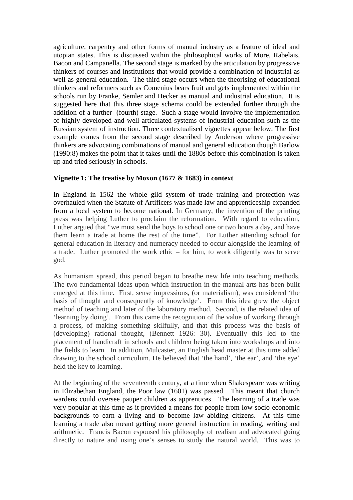agriculture, carpentry and other forms of manual industry as a feature of ideal and utopian states. This is discussed within the philosophical works of More, Rabelais, Bacon and Campanella. The second stage is marked by the articulation by progressive thinkers of courses and institutions that would provide a combination of industrial as well as general education. The third stage occurs when the theorising of educational thinkers and reformers such as Comenius bears fruit and gets implemented within the schools run by Franke, Semler and Hecker as manual and industrial education. It is suggested here that this three stage schema could be extended further through the addition of a further (fourth) stage. Such a stage would involve the implementation of highly developed and well articulated systems of industrial education such as the Russian system of instruction. Three contextualised vignettes appear below. The first example comes from the second stage described by Anderson where progressive thinkers are advocating combinations of manual and general education though Barlow (1990:8) makes the point that it takes until the 1880s before this combination is taken up and tried seriously in schools.

## **Vignette 1: The treatise by Moxon (1677 & 1683) in context**

In England in 1562 the whole gild system of trade training and protection was overhauled when the Statute of Artificers was made law and apprenticeship expanded from a local system to become national. In Germany, the invention of the printing press was helping Luther to proclaim the reformation. With regard to education, Luther argued that "we must send the boys to school one or two hours a day, and have them learn a trade at home the rest of the time". For Luther attending school for general education in literacy and numeracy needed to occur alongside the learning of a trade. Luther promoted the work ethic – for him, to work diligently was to serve god.

As humanism spread, this period began to breathe new life into teaching methods. The two fundamental ideas upon which instruction in the manual arts has been built emerged at this time. First, sense impressions, (or materialism), was considered 'the basis of thought and consequently of knowledge'. From this idea grew the object method of teaching and later of the laboratory method. Second, is the related idea of 'learning by doing'. From this came the recognition of the value of working through a process, of making something skilfully, and that this process was the basis of (developing) rational thought, (Bennett 1926: 30). Eventually this led to the placement of handicraft in schools and children being taken into workshops and into the fields to learn. In addition, Mulcaster, an English head master at this time added drawing to the school curriculum. He believed that 'the hand', 'the ear', and 'the eye' held the key to learning.

At the beginning of the seventeenth century, at a time when Shakespeare was writing in Elizabethan England, the Poor law (1601) was passed. This meant that church wardens could oversee pauper children as apprentices. The learning of a trade was very popular at this time as it provided a means for people from low socio-economic backgrounds to earn a living and to become law abiding citizens. At this time learning a trade also meant getting more general instruction in reading, writing and arithmetic. Francis Bacon espoused his philosophy of realism and advocated going directly to nature and using one's senses to study the natural world. This was to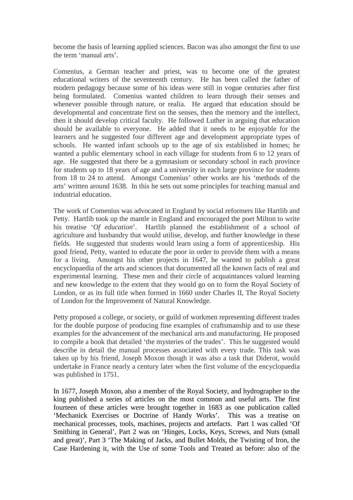become the basis of learning applied sciences. Bacon was also amongst the first to use the term 'manual arts'.

Comenius, a German teacher and priest, was to become one of the greatest educational writers of the seventeenth century. He has been called the father of modern pedagogy because some of his ideas were still in vogue centuries after first being formulated. Comenius wanted children to learn through their senses and whenever possible through nature, or realia. He argued that education should be developmental and concentrate first on the senses, then the memory and the intellect, then it should develop critical faculty. He followed Luther in arguing that education should be available to everyone. He added that it needs to be enjoyable for the learners and he suggested four different age and development appropriate types of schools. He wanted infant schools up to the age of six established in homes; he wanted a public elementary school in each village for students from 6 to 12 years of age. He suggested that there be a gymnasium or secondary school in each province for students up to 18 years of age and a university in each large province for students from 18 to 24 to attend. Amongst Comenius' other works are his 'methods of the arts' written around 1638. In this he sets out some principles for teaching manual and industrial education.

The work of Comenius was advocated in England by social reformers like Hartlib and Petty. Hartlib took up the mantle in England and encouraged the poet Milton to write his treatise '*Of education*'. Hartlib planned the establishment of a school of agriculture and husbandry that would utilise, develop, and further knowledge in these fields. He suggested that students would learn using a form of apprenticeship. His good friend, Petty, wanted to educate the poor in order to provide them with a means for a living. Amongst his other projects in 1647, he wanted to publish a great encyclopaedia of the arts and sciences that documented all the known facts of real and experimental learning. These men and their circle of acquaintances valued learning and new knowledge to the extent that they would go on to form the Royal Society of London, or as its full title when formed in 1660 under Charles II, The Royal Society of London for the Improvement of Natural Knowledge.

Petty proposed a college, or society, or guild of workmen representing different trades for the double purpose of producing fine examples of craftsmanship and to use these examples for the advancement of the mechanical arts and manufacturing. He proposed to compile a book that detailed 'the mysteries of the trades'. This he suggested would describe in detail the manual processes associated with every trade. This task was taken up by his friend, Joseph Moxon though it was also a task that Diderot, would undertake in France nearly a century later when the first volume of the encyclopaedia was published in 1751.

In 1677, Joseph Moxon, also a member of the Royal Society, and hydrographer to the king published a series of articles on the most common and useful arts. The first fourteen of these articles were brought together in 1683 as one publication called 'Mechanick Exercises or Doctrine of Handy Works'. This was a treatise on mechanical processes, tools, machines, projects and artefacts. Part 1 was called 'Of Smithing in General', Part 2 was on 'Hinges, Locks, Keys, Screws, and Nuts (small and great)', Part 3 'The Making of Jacks, and Bullet Molds, the Twisting of Iron, the Case Hardening it, with the Use of some Tools and Treated as before: also of the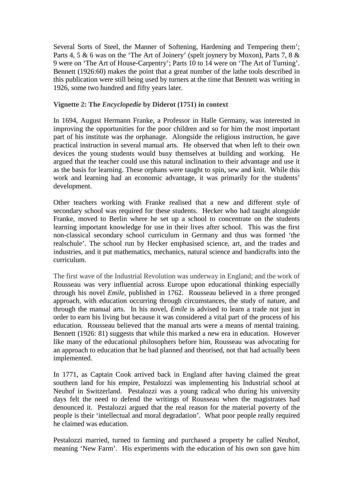Several Sorts of Steel, the Manner of Softening, Hardening and Tempering them'; Parts 4, 5 & 6 was on the 'The Art of Joinery' (spelt joynery by Moxon), Parts 7, 8 & 9 were on 'The Art of House-Carpentry'; Parts 10 to 14 were on 'The Art of Turning'. Bennett (1926:60) makes the point that a great number of the lathe tools described in this publication were still being used by turners at the time that Bennett was writing in 1926, some two hundred and fifty years later.

#### **Vignette 2: The** *Encyclopedie* **by Diderot (1751) in context**

In 1694, August Hermann Franke, a Professor in Halle Germany, was interested in improving the opportunities for the poor children and so for him the most important part of his institute was the orphanage. Alongside the religious instruction, he gave practical instruction in several manual arts. He observed that when left to their own devices the young students would busy themselves at building and working. He argued that the teacher could use this natural inclination to their advantage and use it as the basis for learning. These orphans were taught to spin, sew and knit. While this work and learning had an economic advantage, it was primarily for the students' development.

Other teachers working with Franke realised that a new and different style of secondary school was required for these students. Hecker who had taught alongside Franke, moved to Berlin where he set up a school to concentrate on the students learning important knowledge for use in their lives after school. This was the first non-classical secondary school curriculum in Germany and thus was formed 'the realschule'. The school run by Hecker emphasised science, art, and the trades and industries, and it put mathematics, mechanics, natural science and handicrafts into the curriculum.

The first wave of the Industrial Revolution was underway in England; and the work of Rousseau was very influential across Europe upon educational thinking especially through his novel *Emile,* published in 1762. Rousseau believed in a three pronged approach, with education occurring through circumstances, the study of nature, and through the manual arts. In his novel, *Emile* is advised to learn a trade not just in order to earn his living but because it was considered a vital part of the process of his education. Rousseau believed that the manual arts were a means of mental training. Bennett (1926: 81) suggests that while this marked a new era in education. However like many of the educational philosophers before him, Rousseau was advocating for an approach to education that he had planned and theorised, not that had actually been implemented.

In 1771, as Captain Cook arrived back in England after having claimed the great southern land for his empire, Pestalozzi was implementing his Industrial school at Neuhof in Switzerland. Pestalozzi was a young radical who during his university days felt the need to defend the writings of Rousseau when the magistrates had denounced it. Pestalozzi argued that the real reason for the material poverty of the people is their 'intellectual and moral degradation'. What poor people really required he claimed was education.

Pestalozzi married, turned to farming and purchased a property he called Neuhof, meaning 'New Farm'. His experiments with the education of his own son gave him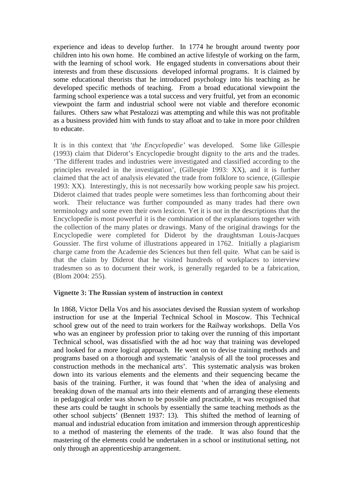experience and ideas to develop further. In 1774 he brought around twenty poor children into his own home. He combined an active lifestyle of working on the farm, with the learning of school work. He engaged students in conversations about their interests and from these discussions developed informal programs. It is claimed by some educational theorists that he introduced psychology into his teaching as he developed specific methods of teaching. From a broad educational viewpoint the farming school experience was a total success and very fruitful, yet from an economic viewpoint the farm and industrial school were not viable and therefore economic failures. Others saw what Pestalozzi was attempting and while this was not profitable as a business provided him with funds to stay afloat and to take in more poor children to educate.

It is in this context that *'the Encyclopedie'* was developed. Some like Gillespie (1993) claim that Diderot's Encyclopedie brought dignity to the arts and the trades. 'The different trades and industries were investigated and classified according to the principles revealed in the investigation', (Gillespie 1993: XX), and it is further claimed that the act of analysis elevated the trade from folklore to science, (Gillespie 1993: XX). Interestingly, this is not necessarily how working people saw his project. Diderot claimed that trades people were sometimes less than forthcoming about their work. Their reluctance was further compounded as many trades had there own terminology and some even their own lexicon. Yet it is not in the descriptions that the Encyclopedie is most powerful it is the combination of the explanations together with the collection of the many plates or drawings. Many of the original drawings for the Encyclopedie were completed for Diderot by the draughtsman Louis-Jacques Goussier. The first volume of illustrations appeared in 1762. Initially a plagiarism charge came from the Academie des Sciences but then fell quite. What can be said is that the claim by Diderot that he visited hundreds of workplaces to interview tradesmen so as to document their work, is generally regarded to be a fabrication, (Blom 2004: 255).

#### **Vignette 3: The Russian system of instruction in context**

In 1868, Victor Della Vos and his associates devised the Russian system of workshop instruction for use at the Imperial Technical School in Moscow. This Technical school grew out of the need to train workers for the Railway workshops. Della Vos who was an engineer by profession prior to taking over the running of this important Technical school, was dissatisfied with the ad hoc way that training was developed and looked for a more logical approach. He went on to devise training methods and programs based on a thorough and systematic 'analysis of all the tool processes and construction methods in the mechanical arts'. This systematic analysis was broken down into its various elements and the elements and their sequencing became the basis of the training. Further, it was found that 'when the idea of analysing and breaking down of the manual arts into their elements and of arranging these elements in pedagogical order was shown to be possible and practicable, it was recognised that these arts could be taught in schools by essentially the same teaching methods as the other school subjects' (Bennett 1937: 13). This shifted the method of learning of manual and industrial education from imitation and immersion through apprenticeship to a method of mastering the elements of the trade. It was also found that the mastering of the elements could be undertaken in a school or institutional setting, not only through an apprenticeship arrangement.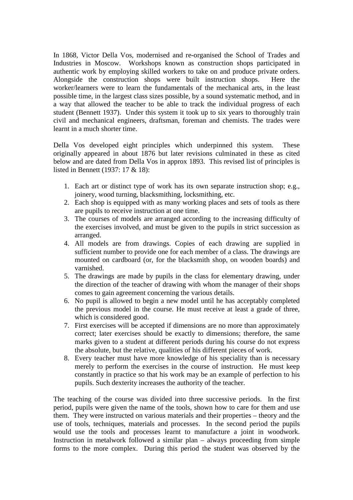In 1868, Victor Della Vos, modernised and re-organised the School of Trades and Industries in Moscow. Workshops known as construction shops participated in authentic work by employing skilled workers to take on and produce private orders. Alongside the construction shops were built instruction shops. Here the worker/learners were to learn the fundamentals of the mechanical arts, in the least possible time, in the largest class sizes possible, by a sound systematic method, and in a way that allowed the teacher to be able to track the individual progress of each student (Bennett 1937). Under this system it took up to six years to thoroughly train civil and mechanical engineers, draftsman, foreman and chemists. The trades were learnt in a much shorter time.

Della Vos developed eight principles which underpinned this system. These originally appeared in about 1876 but later revisions culminated in these as cited below and are dated from Della Vos in approx 1893. This revised list of principles is listed in Bennett (1937: 17 & 18):

- 1. Each art or distinct type of work has its own separate instruction shop; e.g., joinery, wood turning, blacksmithing, locksmithing, etc.
- 2. Each shop is equipped with as many working places and sets of tools as there are pupils to receive instruction at one time.
- 3. The courses of models are arranged according to the increasing difficulty of the exercises involved, and must be given to the pupils in strict succession as arranged.
- 4. All models are from drawings. Copies of each drawing are supplied in sufficient number to provide one for each member of a class. The drawings are mounted on cardboard (or, for the blacksmith shop, on wooden boards) and varnished.
- 5. The drawings are made by pupils in the class for elementary drawing, under the direction of the teacher of drawing with whom the manager of their shops comes to gain agreement concerning the various details.
- 6. No pupil is allowed to begin a new model until he has acceptably completed the previous model in the course. He must receive at least a grade of three, which is considered good.
- 7. First exercises will be accepted if dimensions are no more than approximately correct; later exercises should be exactly to dimensions; therefore, the same marks given to a student at different periods during his course do not express the absolute, but the relative, qualities of his different pieces of work.
- 8. Every teacher must have more knowledge of his speciality than is necessary merely to perform the exercises in the course of instruction. He must keep constantly in practice so that his work may be an example of perfection to his pupils. Such dexterity increases the authority of the teacher.

The teaching of the course was divided into three successive periods. In the first period, pupils were given the name of the tools, shown how to care for them and use them. They were instructed on various materials and their properties – theory and the use of tools, techniques, materials and processes. In the second period the pupils would use the tools and processes learnt to manufacture a joint in woodwork. Instruction in metalwork followed a similar plan – always proceeding from simple forms to the more complex. During this period the student was observed by the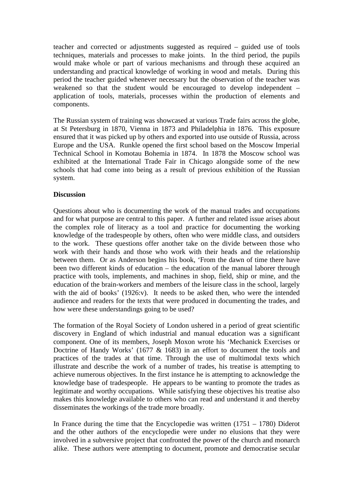teacher and corrected or adjustments suggested as required – guided use of tools techniques, materials and processes to make joints. In the third period, the pupils would make whole or part of various mechanisms and through these acquired an understanding and practical knowledge of working in wood and metals. During this period the teacher guided whenever necessary but the observation of the teacher was weakened so that the student would be encouraged to develop independent – application of tools, materials, processes within the production of elements and components.

The Russian system of training was showcased at various Trade fairs across the globe, at St Petersburg in 1870, Vienna in 1873 and Philadelphia in 1876. This exposure ensured that it was picked up by others and exported into use outside of Russia, across Europe and the USA. Runkle opened the first school based on the Moscow Imperial Technical School in Komotau Bohemia in 1874. In 1878 the Moscow school was exhibited at the International Trade Fair in Chicago alongside some of the new schools that had come into being as a result of previous exhibition of the Russian system.

## **Discussion**

Questions about who is documenting the work of the manual trades and occupations and for what purpose are central to this paper. A further and related issue arises about the complex role of literacy as a tool and practice for documenting the working knowledge of the tradespeople by others, often who were middle class, and outsiders to the work. These questions offer another take on the divide between those who work with their hands and those who work with their heads and the relationship between them. Or as Anderson begins his book, 'From the dawn of time there have been two different kinds of education – the education of the manual laborer through practice with tools, implements, and machines in shop, field, ship or mine, and the education of the brain-workers and members of the leisure class in the school, largely with the aid of books' (1926:v). It needs to be asked then, who were the intended audience and readers for the texts that were produced in documenting the trades, and how were these understandings going to be used?

The formation of the Royal Society of London ushered in a period of great scientific discovery in England of which industrial and manual education was a significant component. One of its members, Joseph Moxon wrote his 'Mechanick Exercises or Doctrine of Handy Works' (1677 & 1683) in an effort to document the tools and practices of the trades at that time. Through the use of multimodal texts which illustrate and describe the work of a number of trades, his treatise is attempting to achieve numerous objectives. In the first instance he is attempting to acknowledge the knowledge base of tradespeople. He appears to be wanting to promote the trades as legitimate and worthy occupations. While satisfying these objectives his treatise also makes this knowledge available to others who can read and understand it and thereby disseminates the workings of the trade more broadly.

In France during the time that the Encyclopedie was written  $(1751 - 1780)$  Diderot and the other authors of the encyclopedie were under no elusions that they were involved in a subversive project that confronted the power of the church and monarch alike. These authors were attempting to document, promote and democratise secular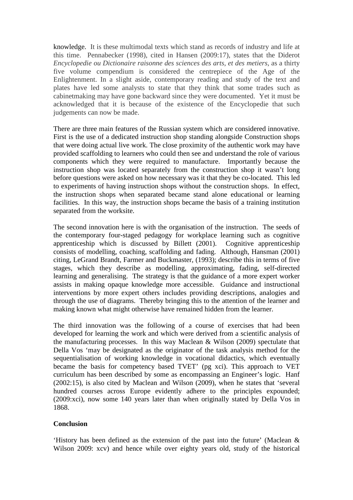knowledge. It is these multimodal texts which stand as records of industry and life at this time. Pennabecker (1998), cited in Hansen (2009:17), states that the Diderot *Encyclopedie ou Dictionaire raisonne des sciences des arts, et des metiers*, as a thirty five volume compendium is considered the centrepiece of the Age of the Enlightenment. In a slight aside, contemporary reading and study of the text and plates have led some analysts to state that they think that some trades such as cabinetmaking may have gone backward since they were documented. Yet it must be acknowledged that it is because of the existence of the Encyclopedie that such judgements can now be made.

There are three main features of the Russian system which are considered innovative. First is the use of a dedicated instruction shop standing alongside Construction shops that were doing actual live work. The close proximity of the authentic work may have provided scaffolding to learners who could then see and understand the role of various components which they were required to manufacture. Importantly because the instruction shop was located separately from the construction shop it wasn't long before questions were asked on how necessary was it that they be co-located. This led to experiments of having instruction shops without the construction shops. In effect, the instruction shops when separated became stand alone educational or learning facilities. In this way, the instruction shops became the basis of a training institution separated from the worksite.

The second innovation here is with the organisation of the instruction. The seeds of the contemporary four-staged pedagogy for workplace learning such as cognitive apprenticeship which is discussed by Billett (2001). Cognitive apprenticeship consists of modelling, coaching, scaffolding and fading. Although, Hansman (2001) citing, LeGrand Brandt, Farmer and Buckmaster, (1993); describe this in terms of five stages, which they describe as modelling, approximating, fading, self-directed learning and generalising. The strategy is that the guidance of a more expert worker assists in making opaque knowledge more accessible. Guidance and instructional interventions by more expert others includes providing descriptions, analogies and through the use of diagrams. Thereby bringing this to the attention of the learner and making known what might otherwise have remained hidden from the learner.

The third innovation was the following of a course of exercises that had been developed for learning the work and which were derived from a scientific analysis of the manufacturing processes. In this way Maclean & Wilson (2009) spectulate that Della Vos 'may be designated as the originator of the task analysis method for the sequentialisation of working knowledge in vocational didactics, which eventually became the basis for competency based TVET' (pg xci). This approach to VET curriculum has been described by some as encompassing an Engineer's logic. Hanf (2002:15), is also cited by Maclean and Wilson (2009), when he states that 'several hundred courses across Europe evidently adhere to the principles expounded; (2009:xci), now some 140 years later than when originally stated by Della Vos in 1868.

#### **Conclusion**

'History has been defined as the extension of the past into the future' (Maclean & Wilson 2009: xcv) and hence while over eighty years old, study of the historical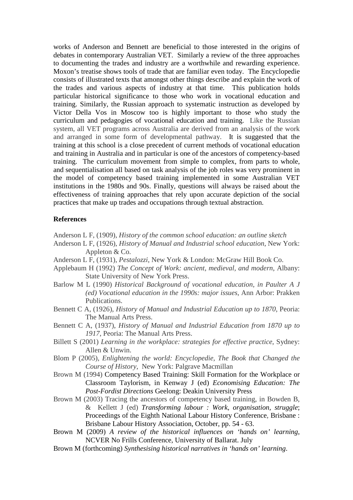works of Anderson and Bennett are beneficial to those interested in the origins of debates in contemporary Australian VET. Similarly a review of the three approaches to documenting the trades and industry are a worthwhile and rewarding experience. Moxon's treatise shows tools of trade that are familiar even today. The Encyclopedie consists of illustrated texts that amongst other things describe and explain the work of the trades and various aspects of industry at that time. This publication holds particular historical significance to those who work in vocational education and training. Similarly, the Russian approach to systematic instruction as developed by Victor Della Vos in Moscow too is highly important to those who study the curriculum and pedagogies of vocational education and training. Like the Russian system, all VET programs across Australia are derived from an analysis of the work and arranged in some form of developmental pathway. It is suggested that the training at this school is a close precedent of current methods of vocational education and training in Australia and in particular is one of the ancestors of competency-based training. The curriculum movement from simple to complex, from parts to whole, and sequentialisation all based on task analysis of the job roles was very prominent in the model of competency based training implemented in some Australian VET institutions in the 1980s and 90s. Finally, questions will always be raised about the effectiveness of training approaches that rely upon accurate depiction of the social practices that make up trades and occupations through textual abstraction.

### **References**

- Anderson L F, (1909), *History of the common school education: an outline sketch*
- Anderson L F, (1926), *History of Manual and Industrial school education*, New York: Appleton & Co.
- Anderson L F, (1931), *Pestalozzi*, New York & London: McGraw Hill Book Co.
- Applebaum H (1992) *The Concept of Work: ancient, medieval, and modern*, Albany: State University of New York Press.
- Barlow M L (1990) *Historical Background of vocational education, in Paulter A J (ed) Vocational education in the 1990s: major issues*, Ann Arbor: Prakken Publications.
- Bennett C A, (1926), *History of Manual and Industrial Education up to 1870*, Peoria: The Manual Arts Press.
- Bennett C A, (1937), *History of Manual and Industrial Education from 1870 up to 1917*, Peoria: The Manual Arts Press.
- Billett S (2001) *Learning in the workplace: strategies for effective practice*, Sydney: Allen & Unwin.
- Blom P (2005), *Enlightening the world: Encyclopedie, The Book that Changed the Course of History*, New York: Palgrave Macmillan
- Brown M (1994) Competency Based Training: Skill Formation for the Workplace or Classroom Taylorism, in Kenway J (ed) *Economising Education: The Post-Fordist Directions* Geelong: Deakin University Press
- Brown M (2003) Tracing the ancestors of competency based training, in Bowden B, & Kellett J (ed) *Transforming labour : Work, organisation, struggle*; Proceedings of the Eighth National Labour History Conference, Brisbane : Brisbane Labour History Association, October, pp. 54 - 63.
- Brown M (2009) *A review of the historical influences on 'hands on' learning*, NCVER No Frills Conference, University of Ballarat. July
- Brown M (forthcoming) *Synthesising historical narratives in 'hands on' learning*.